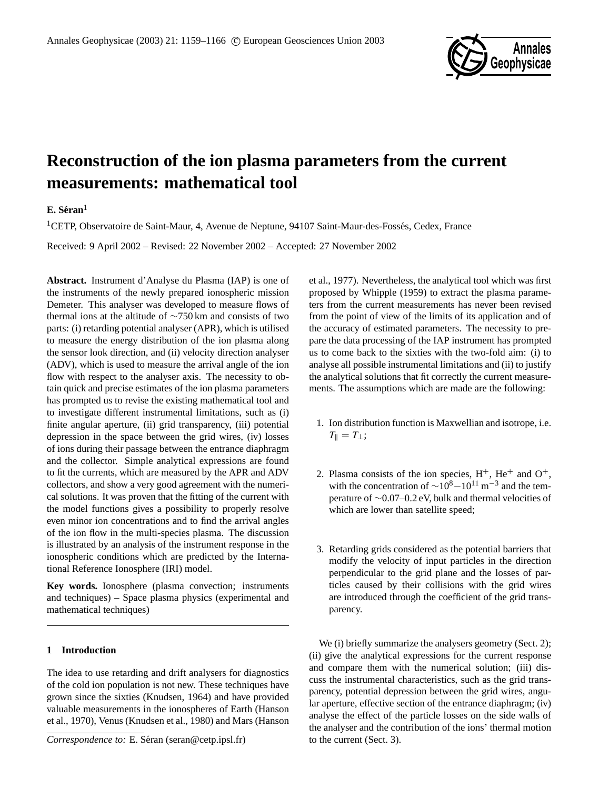

# **Reconstruction of the ion plasma parameters from the current measurements: mathematical tool**

 $\mathbf{E.}$  Séran $^1$ 

<sup>1</sup>CETP, Observatoire de Saint-Maur, 4, Avenue de Neptune, 94107 Saint-Maur-des-Fossés, Cedex, France

Received: 9 April 2002 – Revised: 22 November 2002 – Accepted: 27 November 2002

**Abstract.** Instrument d'Analyse du Plasma (IAP) is one of the instruments of the newly prepared ionospheric mission Demeter. This analyser was developed to measure flows of thermal ions at the altitude of ∼750 km and consists of two parts: (i) retarding potential analyser (APR), which is utilised to measure the energy distribution of the ion plasma along the sensor look direction, and (ii) velocity direction analyser (ADV), which is used to measure the arrival angle of the ion flow with respect to the analyser axis. The necessity to obtain quick and precise estimates of the ion plasma parameters has prompted us to revise the existing mathematical tool and to investigate different instrumental limitations, such as (i) finite angular aperture, (ii) grid transparency, (iii) potential depression in the space between the grid wires, (iv) losses of ions during their passage between the entrance diaphragm and the collector. Simple analytical expressions are found to fit the currents, which are measured by the APR and ADV collectors, and show a very good agreement with the numerical solutions. It was proven that the fitting of the current with the model functions gives a possibility to properly resolve even minor ion concentrations and to find the arrival angles of the ion flow in the multi-species plasma. The discussion is illustrated by an analysis of the instrument response in the ionospheric conditions which are predicted by the International Reference Ionosphere (IRI) model.

**Key words.** Ionosphere (plasma convection; instruments and techniques) – Space plasma physics (experimental and mathematical techniques)

# **1 Introduction**

The idea to use retarding and drift analysers for diagnostics of the cold ion population is not new. These techniques have grown since the sixties (Knudsen, 1964) and have provided valuable measurements in the ionospheres of Earth (Hanson et al., 1970), Venus (Knudsen et al., 1980) and Mars (Hanson

*Correspondence to:* E. Séran (seran@cetp.ipsl.fr)

et al., 1977). Nevertheless, the analytical tool which was first proposed by Whipple (1959) to extract the plasma parameters from the current measurements has never been revised from the point of view of the limits of its application and of the accuracy of estimated parameters. The necessity to prepare the data processing of the IAP instrument has prompted us to come back to the sixties with the two-fold aim: (i) to analyse all possible instrumental limitations and (ii) to justify the analytical solutions that fit correctly the current measurements. The assumptions which are made are the following:

- 1. Ion distribution function is Maxwellian and isotrope, i.e.  $T_{\parallel} = T_{\perp};$
- 2. Plasma consists of the ion species,  $H^+$ ,  $He^+$  and  $O^+$ , with the concentration of  $\sim 10^8 - 10^{11}$  m<sup>-3</sup> and the temperature of ∼0.07–0.2 eV, bulk and thermal velocities of which are lower than satellite speed;
- 3. Retarding grids considered as the potential barriers that modify the velocity of input particles in the direction perpendicular to the grid plane and the losses of particles caused by their collisions with the grid wires are introduced through the coefficient of the grid transparency.

We (i) briefly summarize the analysers geometry (Sect. 2); (ii) give the analytical expressions for the current response and compare them with the numerical solution; (iii) discuss the instrumental characteristics, such as the grid transparency, potential depression between the grid wires, angular aperture, effective section of the entrance diaphragm; (iv) analyse the effect of the particle losses on the side walls of the analyser and the contribution of the ions' thermal motion to the current (Sect. 3).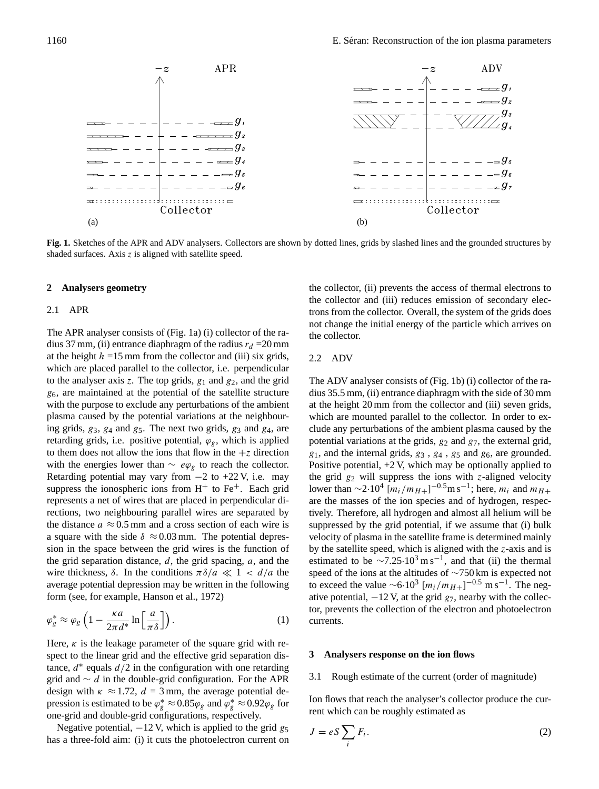

**Fig. 1.** Sketches of the APR and ADV analysers. Collectors are shown by dotted lines, grids by slashed lines and the grounded structures by shaded surfaces. Axis  $z$  is aligned with satellite speed.

# **2 Analysers geometry**

# 2.1 APR

The APR analyser consists of (Fig. 1a) (i) collector of the radius 37 mm, (ii) entrance diaphragm of the radius  $r_d = 20$  mm at the height  $h = 15$  mm from the collector and (iii) six grids, which are placed parallel to the collector, i.e. perpendicular to the analyser axis z. The top grids,  $g_1$  and  $g_2$ , and the grid  $g<sub>6</sub>$ , are maintained at the potential of the satellite structure with the purpose to exclude any perturbations of the ambient plasma caused by the potential variations at the neighbouring grids,  $g_3$ ,  $g_4$  and  $g_5$ . The next two grids,  $g_3$  and  $g_4$ , are retarding grids, i.e. positive potential,  $\varphi_{\varrho}$ , which is applied to them does not allow the ions that flow in the  $+z$  direction with the energies lower than  $\sim e\varphi_{\varrho}$  to reach the collector. Retarding potential may vary from  $-2$  to  $+22$  V, i.e. may suppress the ionospheric ions from  $H^+$  to Fe<sup>+</sup>. Each grid represents a net of wires that are placed in perpendicular directions, two neighbouring parallel wires are separated by the distance  $a \approx 0.5$  mm and a cross section of each wire is a square with the side  $\delta \approx 0.03$  mm. The potential depression in the space between the grid wires is the function of the grid separation distance,  $d$ , the grid spacing,  $a$ , and the wire thickness,  $\delta$ . In the conditions  $\pi \delta/a \ll 1 < d/a$  the average potential depression may be written in the following form (see, for example, Hanson et al., 1972)

$$
\varphi_g^* \approx \varphi_g \left( 1 - \frac{\kappa a}{2\pi d^*} \ln \left[ \frac{a}{\pi \delta} \right] \right). \tag{1}
$$

Here,  $\kappa$  is the leakage parameter of the square grid with respect to the linear grid and the effective grid separation distance,  $d^*$  equals  $d/2$  in the configuration with one retarding grid and  $\sim d$  in the double-grid configuration. For the APR design with  $\kappa \approx 1.72$ ,  $d = 3$  mm, the average potential depression is estimated to be  $\varphi_g^* \approx 0.85 \varphi_g$  and  $\varphi_g^* \approx 0.92 \varphi_g$  for one-grid and double-grid configurations, respectively.

Negative potential,  $-12$  V, which is applied to the grid g<sub>5</sub> has a three-fold aim: (i) it cuts the photoelectron current on the collector, (ii) prevents the access of thermal electrons to the collector and (iii) reduces emission of secondary electrons from the collector. Overall, the system of the grids does not change the initial energy of the particle which arrives on the collector.

# 2.2 ADV

The ADV analyser consists of (Fig. 1b) (i) collector of the radius 35.5 mm, (ii) entrance diaphragm with the side of 30 mm at the height 20 mm from the collector and (iii) seven grids, which are mounted parallel to the collector. In order to exclude any perturbations of the ambient plasma caused by the potential variations at the grids,  $g_2$  and  $g_7$ , the external grid,  $g_1$ , and the internal grids,  $g_3$ ,  $g_4$ ,  $g_5$  and  $g_6$ , are grounded. Positive potential, +2 V, which may be optionally applied to the grid  $g_2$  will suppress the ions with z-aligned velocity lower than  $\sim$ 2⋅10<sup>4</sup> [ $m_i/m_{H+}$ ]<sup>-0.5</sup>m s<sup>-1</sup>; here,  $m_i$  and  $m_{H+}$ are the masses of the ion species and of hydrogen, respectively. Therefore, all hydrogen and almost all helium will be suppressed by the grid potential, if we assume that (i) bulk velocity of plasma in the satellite frame is determined mainly by the satellite speed, which is aligned with the  $z$ -axis and is estimated to be  $\sim$ 7.25⋅10<sup>3</sup> m s<sup>-1</sup>, and that (ii) the thermal speed of the ions at the altitudes of ∼750 km is expected not to exceed the value  $\sim 6.10^3$  [ $m_i/m_{H+}$ ]<sup>-0.5</sup> m s<sup>-1</sup>. The negative potential,  $-12$  V, at the grid  $g_7$ , nearby with the collector, prevents the collection of the electron and photoelectron currents.

# **3 Analysers response on the ion flows**

# 3.1 Rough estimate of the current (order of magnitude)

Ion flows that reach the analyser's collector produce the current which can be roughly estimated as

$$
J = eS \sum_{i} F_{i}.
$$
 (2)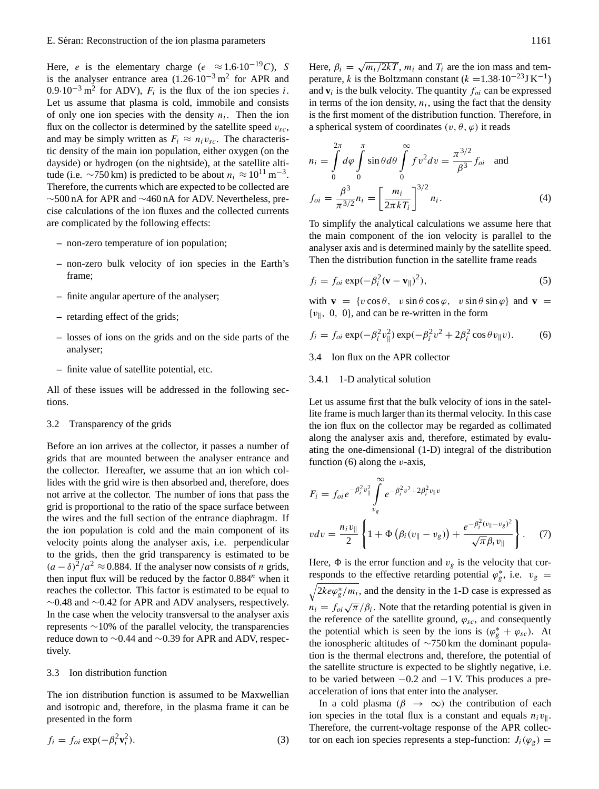Here, *e* is the elementary charge ( $e \approx 1.6 \cdot 10^{-19}C$ ), S is the analyser entrance area  $(1.26 \cdot 10^{-3} \text{ m}^2 \text{ for APR and})$  $0.9 \cdot 10^{-3}$  m<sup>2</sup> for ADV),  $F_i$  is the flux of the ion species *i*. Let us assume that plasma is cold, immobile and consists of only one ion species with the density  $n_i$ . Then the ion flux on the collector is determined by the satellite speed  $v_{sc}$ , and may be simply written as  $F_i \approx n_i v_{sc}$ . The characteristic density of the main ion population, either oxygen (on the dayside) or hydrogen (on the nightside), at the satellite altitude (i.e.  $\sim$ 750 km) is predicted to be about  $n_i \approx 10^{11} \text{ m}^{-3}$ . Therefore, the currents which are expected to be collected are ∼500 nA for APR and ∼460 nA for ADV. Nevertheless, precise calculations of the ion fluxes and the collected currents are complicated by the following effects:

- **–** non-zero temperature of ion population;
- **–** non-zero bulk velocity of ion species in the Earth's frame;
- **–** finite angular aperture of the analyser;
- **–** retarding effect of the grids;
- **–** losses of ions on the grids and on the side parts of the analyser;
- **–** finite value of satellite potential, etc.

All of these issues will be addressed in the following sections.

# 3.2 Transparency of the grids

Before an ion arrives at the collector, it passes a number of grids that are mounted between the analyser entrance and the collector. Hereafter, we assume that an ion which collides with the grid wire is then absorbed and, therefore, does not arrive at the collector. The number of ions that pass the grid is proportional to the ratio of the space surface between the wires and the full section of the entrance diaphragm. If the ion population is cold and the main component of its velocity points along the analyser axis, i.e. perpendicular to the grids, then the grid transparency is estimated to be  $(a - \delta)^2/a^2 \approx 0.884$ . If the analyser now consists of *n* grids, then input flux will be reduced by the factor  $0.884<sup>n</sup>$  when it reaches the collector. This factor is estimated to be equal to ∼0.48 and ∼0.42 for APR and ADV analysers, respectively. In the case when the velocity transversal to the analyser axis represents ∼10% of the parallel velocity, the transparencies reduce down to ∼0.44 and ∼0.39 for APR and ADV, respectively.

#### 3.3 Ion distribution function

The ion distribution function is assumed to be Maxwellian and isotropic and, therefore, in the plasma frame it can be presented in the form

$$
f_i = f_{oi} \exp(-\beta_i^2 \mathbf{v}_i^2). \tag{3}
$$

Here,  $\beta_i = \sqrt{\ }$  $m_i/2kT$ ,  $m_i$  and  $T_i$  are the ion mass and temperature, k is the Boltzmann constant  $(k = 1.38 \cdot 10^{-23} \text{J K}^{-1})$ and  $\mathbf{v}_i$  is the bulk velocity. The quantity  $f_{oi}$  can be expressed in terms of the ion density,  $n_i$ , using the fact that the density is the first moment of the distribution function. Therefore, in a spherical system of coordinates  $(v, \theta, \varphi)$  it reads

$$
n_i = \int_0^{2\pi} d\varphi \int_0^{\pi} \sin \theta d\theta \int_0^{\infty} f v^2 dv = \frac{\pi^{3/2}}{\beta^3} f_{oi} \text{ and}
$$

$$
f_{oi} = \frac{\beta^3}{\pi^{3/2}} n_i = \left[ \frac{m_i}{2\pi k T_i} \right]^{3/2} n_i.
$$
(4)

To simplify the analytical calculations we assume here that the main component of the ion velocity is parallel to the analyser axis and is determined mainly by the satellite speed. Then the distribution function in the satellite frame reads

$$
f_i = f_{oi} \exp(-\beta_i^2 (\mathbf{v} - \mathbf{v}_{\parallel})^2), \tag{5}
$$

with  $\mathbf{v} = \{v \cos \theta, v \sin \theta \cos \varphi, v \sin \theta \sin \varphi\}$  and  $\mathbf{v} =$  $\{v_{\parallel}, 0, 0\}$ , and can be re-written in the form

$$
f_i = f_{oi} \exp(-\beta_i^2 v_{\parallel}^2) \exp(-\beta_i^2 v^2 + 2\beta_i^2 \cos \theta v_{\parallel} v). \tag{6}
$$

- 3.4 Ion flux on the APR collector
- 3.4.1 1-D analytical solution

Let us assume first that the bulk velocity of ions in the satellite frame is much larger than its thermal velocity. In this case the ion flux on the collector may be regarded as collimated along the analyser axis and, therefore, estimated by evaluating the one-dimensional (1-D) integral of the distribution function  $(6)$  along the *v*-axis,

$$
F_i = f_{oi} e^{-\beta_i^2 v_{\parallel}^2} \int_{v_g}^{\infty} e^{-\beta_i^2 v^2 + 2\beta_i^2 v_{\parallel} v}
$$
  

$$
v dv = \frac{n_i v_{\parallel}}{2} \left\{ 1 + \Phi \left( \beta_i (v_{\parallel} - v_g) \right) + \frac{e^{-\beta_i^2 (v_{\parallel} - v_g)^2}}{\sqrt{\pi} \beta_i v_{\parallel}} \right\}.
$$
 (7)

Here,  $\Phi$  is the error function and  $v_g$  is the velocity that corresponds to the effective retarding potential  $\varphi_g^*$ , i.e.  $v_g$  =  $\sqrt{2ke\varphi_g^*/m_i}$ , and the density in the 1-D case is expressed as  $\gamma$  is the set of the retarding potential is given in  $n_i = f_{oi} \sqrt{\pi}/\beta_i$ . Note that the retarding potential is given in the reference of the satellite ground,  $\varphi_{sc}$ , and consequently the potential which is seen by the ions is  $(\varphi_g^* + \varphi_{sc})$ . At the ionospheric altitudes of ∼750 km the dominant population is the thermal electrons and, therefore, the potential of the satellite structure is expected to be slightly negative, i.e. to be varied between  $-0.2$  and  $-1$  V. This produces a preacceleration of ions that enter into the analyser.

In a cold plasma ( $\beta \rightarrow \infty$ ) the contribution of each ion species in the total flux is a constant and equals  $n_i v_{\parallel}$ . Therefore, the current-voltage response of the APR collector on each ion species represents a step-function:  $J_i(\varphi_{\varrho}) =$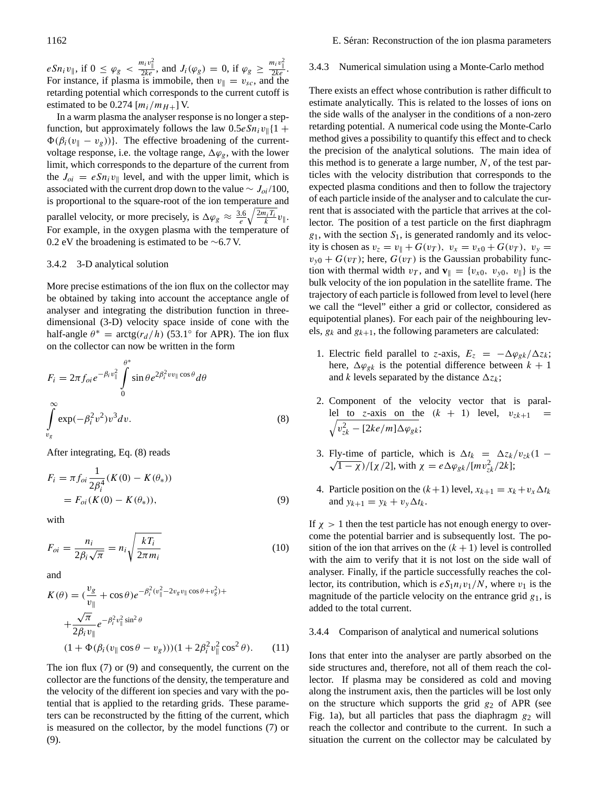$eSn_i v_{\parallel}$ , if  $0 \leq \varphi_g < \frac{m_i v_{\parallel}^2}{2ke}$ , and  $J_i(\varphi_g) = 0$ , if  $\varphi_g \geq \frac{m_i v_{\parallel}^2}{2ke}$ . For instance, if plasma is immobile, then  $v_{\parallel} = v_{sc}$ , and the retarding potential which corresponds to the current cutoff is estimated to be 0.274  $[m_i/m_{H+}]$  V.

In a warm plasma the analyser response is no longer a stepfunction, but approximately follows the law  $0.5eSn_i v_{\parallel}$ {1 +  $\Phi(\beta_i(v_{\parallel} - v_g))$ . The effective broadening of the currentvoltage response, i.e. the voltage range,  $\Delta \varphi_g$ , with the lower limit, which corresponds to the departure of the current from the  $J_{oi} = eSn_i v_{\parallel}$  level, and with the upper limit, which is associated with the current drop down to the value  $\sim J_{oi}/100$ , is proportional to the square-root of the ion temperature and parallel velocity, or more precisely, is  $\Delta \varphi_g \approx \frac{3.6}{e}$  $\sqrt{\frac{2m_iT_i}{k}}v_\parallel.$ For example, in the oxygen plasma with the temperature of 0.2 eV the broadening is estimated to be ∼6.7 V.

# 3.4.2 3-D analytical solution

More precise estimations of the ion flux on the collector may be obtained by taking into account the acceptance angle of analyser and integrating the distribution function in threedimensional (3-D) velocity space inside of cone with the half-angle  $\theta^* = \arctg(r_d/h)$  (53.1° for APR). The ion flux on the collector can now be written in the form

$$
F_i = 2\pi f_{oi} e^{-\beta_i v_{\parallel}^2} \int_{0}^{\theta^*} \sin \theta e^{2\beta_i^2 v v_{\parallel} \cos \theta} d\theta
$$
  

$$
\int_{v_g}^{\infty} \exp(-\beta_i^2 v^2) v^3 dv.
$$
 (8)

After integrating, Eq. (8) reads

$$
F_i = \pi f_{oi} \frac{1}{2\beta_i^4} (K(0) - K(\theta_*))
$$
  
=  $F_{oi}(K(0) - K(\theta_*)),$  (9)

with

$$
F_{oi} = \frac{n_i}{2\beta_i\sqrt{\pi}} = n_i \sqrt{\frac{kT_i}{2\pi m_i}}
$$
(10)

and

$$
K(\theta) = (\frac{v_g}{v_{\parallel}} + \cos \theta) e^{-\beta_i^2 (v_{\parallel}^2 - 2v_g v_{\parallel} \cos \theta + v_g^2) +}
$$
  
+ 
$$
\frac{\sqrt{\pi}}{2\beta_i v_{\parallel}} e^{-\beta_i^2 v_{\parallel}^2 \sin^2 \theta}
$$
  

$$
(1 + \Phi(\beta_i (v_{\parallel} \cos \theta - v_g)))(1 + 2\beta_i^2 v_{\parallel}^2 \cos^2 \theta).
$$
 (11)

The ion flux (7) or (9) and consequently, the current on the collector are the functions of the density, the temperature and the velocity of the different ion species and vary with the potential that is applied to the retarding grids. These parameters can be reconstructed by the fitting of the current, which is measured on the collector, by the model functions (7) or (9).

# 3.4.3 Numerical simulation using a Monte-Carlo method

There exists an effect whose contribution is rather difficult to estimate analytically. This is related to the losses of ions on the side walls of the analyser in the conditions of a non-zero retarding potential. A numerical code using the Monte-Carlo method gives a possibility to quantify this effect and to check the precision of the analytical solutions. The main idea of this method is to generate a large number,  $N$ , of the test particles with the velocity distribution that corresponds to the expected plasma conditions and then to follow the trajectory of each particle inside of the analyser and to calculate the current that is associated with the particle that arrives at the collector. The position of a test particle on the first diaphragm  $g_1$ , with the section  $S_1$ , is generated randomly and its velocity is chosen as  $v_z = v_{\parallel} + G(v_T)$ ,  $v_x = v_{x0} + G(v_T)$ ,  $v_y =$  $v_{\nu0}$  +  $G(v_T)$ ; here,  $G(v_T)$  is the Gaussian probability function with thermal width  $v_T$ , and  $\mathbf{v}_{\parallel} = \{v_{x0}, v_{y0}, v_{\parallel}\}\)$  is the bulk velocity of the ion population in the satellite frame. The trajectory of each particle is followed from level to level (here we call the "level" either a grid or collector, considered as equipotential planes). For each pair of the neighbouring levels,  $g_k$  and  $g_{k+1}$ , the following parameters are calculated:

- 1. Electric field parallel to z-axis,  $E_z = -\Delta \varphi_{gk}/\Delta z_k$ ; here,  $\Delta \varphi_{gk}$  is the potential difference between  $k + 1$ and k levels separated by the distance  $\Delta z_k$ ;
- 2. Component of the velocity vector that is parallel to z-axis on the  $(k + 1)$  level,  $v_{z}$ <sub>k+1</sub> =  $\sqrt{v_{zk}^2 - [2ke/m]\Delta\varphi_{gk}};$
- 3. Fly-time of particle, which is  $\Delta t_k = \Delta z_k/v_{zk}(1 \overline{(1-\chi)}/[\chi/2]$ , with  $\chi = e\Delta\varphi_{gk}/[mv_{zk}^2/2k]$ ;
- 4. Particle position on the  $(k+1)$  level,  $x_{k+1} = x_k + v_x \Delta t_k$ and  $y_{k+1} = y_k + v_{y} \Delta t_k$ .

If  $\chi > 1$  then the test particle has not enough energy to overcome the potential barrier and is subsequently lost. The position of the ion that arrives on the  $(k + 1)$  level is controlled with the aim to verify that it is not lost on the side wall of analyser. Finally, if the particle successfully reaches the collector, its contribution, which is  $eS_1n_i v_1/N$ , where  $v_1$  is the magnitude of the particle velocity on the entrance grid  $g_1$ , is added to the total current.

#### 3.4.4 Comparison of analytical and numerical solutions

Ions that enter into the analyser are partly absorbed on the side structures and, therefore, not all of them reach the collector. If plasma may be considered as cold and moving along the instrument axis, then the particles will be lost only on the structure which supports the grid  $g_2$  of APR (see Fig. 1a), but all particles that pass the diaphragm  $g_2$  will reach the collector and contribute to the current. In such a situation the current on the collector may be calculated by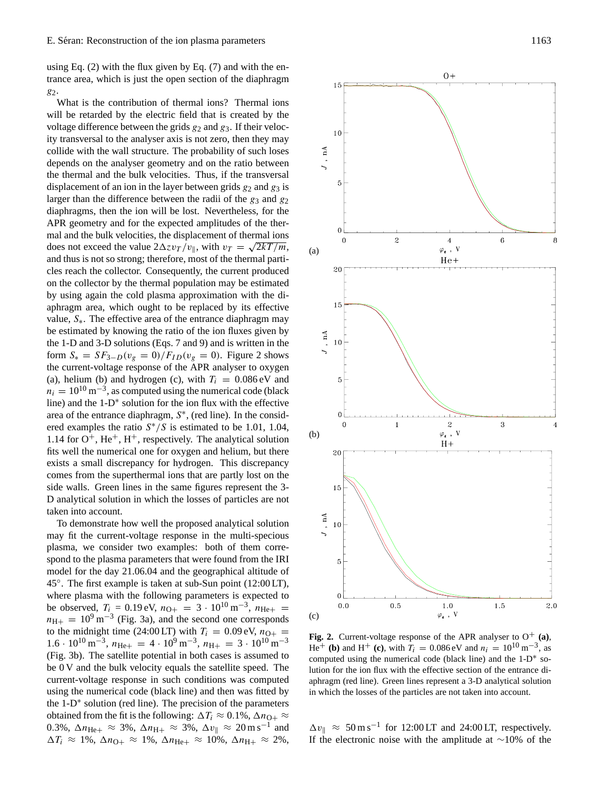using Eq.  $(2)$  with the flux given by Eq.  $(7)$  and with the entrance area, which is just the open section of the diaphragm g2.

What is the contribution of thermal ions? Thermal ions will be retarded by the electric field that is created by the voltage difference between the grids  $g_2$  and  $g_3$ . If their velocity transversal to the analyser axis is not zero, then they may collide with the wall structure. The probability of such loses depends on the analyser geometry and on the ratio between the thermal and the bulk velocities. Thus, if the transversal displacement of an ion in the layer between grids  $g_2$  and  $g_3$  is larger than the difference between the radii of the  $g_3$  and  $g_2$ diaphragms, then the ion will be lost. Nevertheless, for the APR geometry and for the expected amplitudes of the thermal and the bulk velocities, the displacement of thermal ions does not exceed the value  $2\Delta z v_T/v_{\parallel}$ , with  $v_T = \sqrt{2kT/m}$ , and thus is not so strong; therefore, most of the thermal particles reach the collector. Consequently, the current produced on the collector by the thermal population may be estimated by using again the cold plasma approximation with the diaphragm area, which ought to be replaced by its effective value,  $S_{\ast}$ . The effective area of the entrance diaphragm may be estimated by knowing the ratio of the ion fluxes given by the 1-D and 3-D solutions (Eqs. 7 and 9) and is written in the form  $S_* = SF_{3-D}(v_g = 0)/F_{ID}(v_g = 0)$ . Figure 2 shows the current-voltage response of the APR analyser to oxygen (a), helium (b) and hydrogen (c), with  $T_i = 0.086 \text{ eV}$  and  $n_i = 10^{10} \,\mathrm{m}^{-3}$ , as computed using the numerical code (black line) and the 1-D<sup>∗</sup> solution for the ion flux with the effective area of the entrance diaphragm,  $S^*$ , (red line). In the considered examples the ratio  $S^*/S$  is estimated to be 1.01, 1.04, 1.14 for  $O^+$ , He<sup>+</sup>, H<sup>+</sup>, respectively. The analytical solution fits well the numerical one for oxygen and helium, but there exists a small discrepancy for hydrogen. This discrepancy comes from the superthermal ions that are partly lost on the side walls. Green lines in the same figures represent the 3- D analytical solution in which the losses of particles are not taken into account.

To demonstrate how well the proposed analytical solution may fit the current-voltage response in the multi-specious plasma, we consider two examples: both of them correspond to the plasma parameters that were found from the IRI model for the day 21.06.04 and the geographical altitude of 45◦ . The first example is taken at sub-Sun point (12:00 LT), where plasma with the following parameters is expected to be observed,  $T_i = 0.19 \text{ eV}, n_{\text{O+}} = 3 \cdot 10^{10} \text{ m}^{-3}, n_{\text{He+}} =$  $n_{\text{H+}} = 10^9 \text{ m}^{-3}$  (Fig. 3a), and the second one corresponds to the midnight time (24:00 LT) with  $T_i = 0.09 \text{ eV}, n_{O+} =$  $1.6 \cdot 10^{10} \,\mathrm{m}^{-3}$ ,  $n_{\text{He+}} = 4 \cdot 10^9 \,\mathrm{m}^{-3}$ ,  $n_{\text{H+}} = 3 \cdot 10^{10} \,\mathrm{m}^{-3}$ (Fig. 3b). The satellite potential in both cases is assumed to be 0 V and the bulk velocity equals the satellite speed. The current-voltage response in such conditions was computed using the numerical code (black line) and then was fitted by the 1-D<sup>∗</sup> solution (red line). The precision of the parameters obtained from the fit is the following:  $\Delta T_i \approx 0.1\%$ ,  $\Delta n_{\text{O+}} \approx$ 0.3%,  $\Delta n_{\text{He+}} \approx 3$ %,  $\Delta n_{\text{H+}} \approx 3$ %,  $\Delta v_{\parallel} \approx 20 \text{ m s}^{-1}$  and  $\Delta T_i \approx 1\%, \Delta n_{\text{O+}} \approx 1\%, \Delta n_{\text{He+}} \approx 10\%, \Delta n_{\text{H+}} \approx 2\%,$ 



Figure 2c and the contribution of the contribution of the contribution of the contribution applical solution **Fig. 2.** Current-voltage response of the APR analyser to  $O^+$  (a), He<sup>+</sup> (**b**) and H<sup>+</sup> (**c**), with  $T_i = 0.086 \text{ eV}$  and  $n_i = 10^{10} \text{ m}^{-3}$ , as computed using the numerical code (black line) and the 1-D<sup>∗</sup> solution for the ion flux with the effective section of the entrance diin which the losses of the particles are not taken into account.

 $\Delta v_{\parallel} \approx 50 \,\mathrm{m\,s^{-1}}$  for 12:00 LT and 24:00 LT, respectively. If the electronic noise with the amplitude at ∼10% of the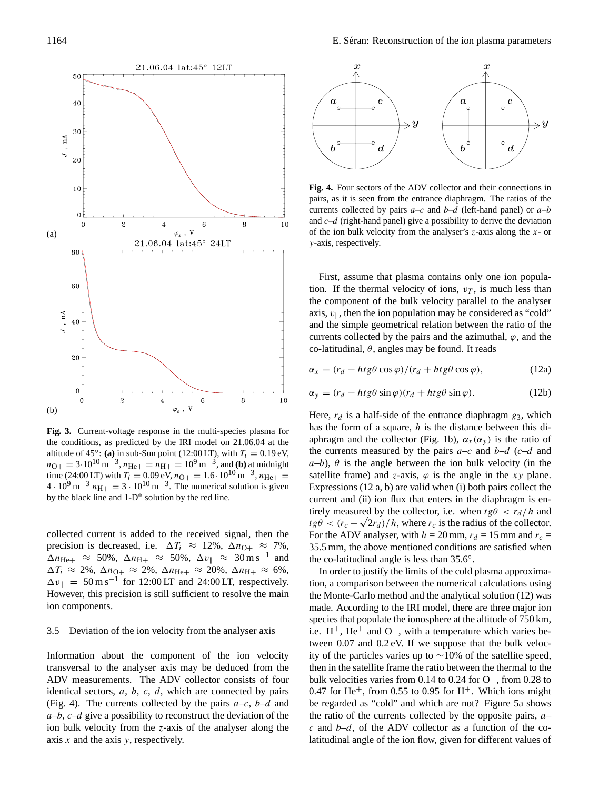

 $n_{\text{O+}} = 3.10^{10} \text{ m}^{-3}$ ,  $n_{\text{He+}} = n_{\text{H+}} = 10^9 \text{ m}^{-3}$ , and **(b)** at midnight **Fig. 3.** Current-voltage response in the multi-species plasma for the conditions, as predicted by the IRI model on 21.06.04 at the altitude of 45<sup>°</sup>: (a) in sub-Sun point (12:00 LT), with  $T_i = 0.19 \text{ eV}$ , time (24:00 LT) with  $T_i = 0.09 \text{ eV}, n_{\text{O+}} = 1.6 \cdot 10^{10} \text{ m}^{-3}, n_{\text{He+}} =$  $4 \cdot 10^{9}$  m<sup>-3</sup>  $n_{\text{H+}} = 3 \cdot 10^{10}$  m<sup>-3</sup>. The numerical solution is given by the black line and 1-D<sup>∗</sup> solution by the red line.

collected current is added to the received signal, then the precision is decreased, i.e.  $\Delta T_i \approx 12\%$ ,  $\Delta n_{\text{O+}} \approx 7\%$ ,  $\Delta n_{\text{He+}} \approx 50\%$ ,  $\Delta n_{\text{H+}} \approx 50\%$ ,  $\Delta v_{\parallel} \approx 30 \text{ m s}^{-1}$  and  $\Delta T_i \approx 2\%, \Delta n_{\text{O+}} \approx 2\%, \Delta n_{\text{He+}} \approx 20\%, \Delta n_{\text{H+}} \approx 6\%,$  $\Delta v_{\parallel}$  = 50 m s<sup>-1</sup> for 12:00 LT and 24:00 LT, respectively. However, this precision is still sufficient to resolve the main ion components.

#### 3.5 Deviation of the ion velocity from the analyser axis

Information about the component of the ion velocity transversal to the analyser axis may be deduced from the ADV measurements. The ADV collector consists of four identical sectors,  $a, b, c, d$ , which are connected by pairs (Fig. 4). The currents collected by the pairs  $a-c$ ,  $b-d$  and  $a-b$ ,  $c-d$  give a possibility to reconstruct the deviation of the ion bulk velocity from the z-axis of the analyser along the axis  $x$  and the axis  $y$ , respectively.



**Fig. 4.** Four sectors of the ADV collector and their connections in pairs, as it is seen from the entrance diaphragm. The ratios of the currents collected by pairs  $a-c$  and  $b-d$  (left-hand panel) or  $a-b$ and  $c-d$  (right-hand panel) give a possibility to derive the deviation of the ion bulk velocity from the analyser's  $z$ -axis along the  $x$ - or y-axis, respectively.

First, assume that plasma contains only one for popula-<br>tion. If the thermal velocity of ions,  $v_T$ , is much less than First, assume that plasma contains only one ion populathe component of the bulk velocity parallel to the analyser axis,  $v_{\parallel}$ , then the ion population may be considered as "cold" and the simple geometrical relation between the ratio of the currents collected by the pairs and the azimuthal,  $\varphi$ , and the co-latitudinal,  $\theta$ , angles may be found. It reads

$$
\alpha_x = (r_d - ht g \theta \cos \varphi)/(r_d + ht g \theta \cos \varphi), \qquad (12a)
$$

$$
\alpha_y = (r_d - ht g \theta \sin \varphi)(r_d + ht g \theta \sin \varphi). \tag{12b}
$$

Here,  $r_d$  is a half-side of the entrance diaphragm  $g_3$ , which has the form of a square,  $h$  is the distance between this diaphragm and the collector (Fig. 1b),  $\alpha_x(\alpha_y)$  is the ratio of the currents measured by the pairs  $a-c$  and  $b-d$  (c–d and  $a-b$ ),  $\theta$  is the angle between the ion bulk velocity (in the satellite frame) and z-axis,  $\varphi$  is the angle in the xy plane. Expressions (12 a, b) are valid when (i) both pairs collect the current and (ii) ion flux that enters in the diaphragm is entirely measured by the collector, i.e. when  $tg\theta < r_d/h$  and  $tg\theta < (r_c - \sqrt{2}r_d)/h$ , where  $r_c$  is the radius of the collector. For the ADV analyser, with  $h = 20$  mm,  $r_d = 15$  mm and  $r_c =$ 35.5 mm, the above mentioned conditions are satisfied when the co-latitudinal angle is less than 35.6◦ .

In order to justify the limits of the cold plasma approximation, a comparison between the numerical calculations using the Monte-Carlo method and the analytical solution (12) was made. According to the IRI model, there are three major ion species that populate the ionosphere at the altitude of 750 km, i.e.  $H^+$ , He<sup>+</sup> and  $O^+$ , with a temperature which varies between 0.07 and 0.2 eV. If we suppose that the bulk velocity of the particles varies up to ∼10% of the satellite speed, then in the satellite frame the ratio between the thermal to the bulk velocities varies from 0.14 to 0.24 for  $O^+$ , from 0.28 to 0.47 for He<sup>+</sup>, from 0.55 to 0.95 for H<sup>+</sup>. Which ions might be regarded as "cold" and which are not? Figure 5a shows the ratio of the currents collected by the opposite pairs,  $a$  $c$  and  $b-d$ , of the ADV collector as a function of the colatitudinal angle of the ion flow, given for different values of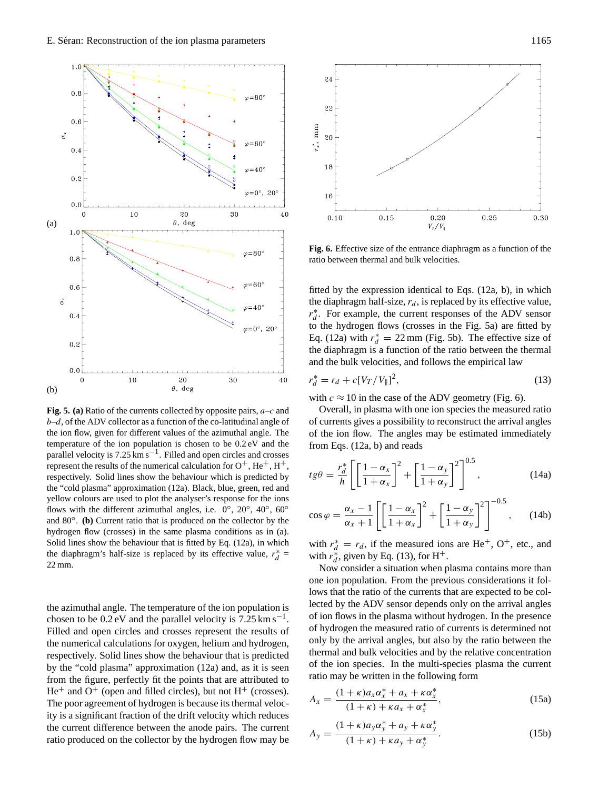

 $b-d$ , of the ADV collector as a function of the co-latitudinal angle of **Fig. 5. (a)** Ratio of the currents collected by opposite pairs,  $a-c$  and the ion flow, given for different values of the azimuthal angle. The temperature of the ion population is chosen to be 0.2 eV and the parallel velocity is  $7.25 \text{ km s}^{-1}$ . Filled and open circles and crosses represent the results of the numerical calculation for  $O^+$ , He<sup>+</sup>, H<sup>+</sup>, respectively. Solid lines show the behaviour which is predicted by the "cold plasma" approximation (12a). Black, blue, green, red and yellow colours are used to plot the analyser's response for the ions flows with the different azimuthal angles, i.e.  $0^\circ$ ,  $20^\circ$ ,  $40^\circ$ ,  $60^\circ$ and 80◦ . **(b)** Current ratio that is produced on the collector by the hydrogen flow (crosses) in the same plasma conditions as in (a). Solid lines show the behaviour that is fitted by Eq. (12a), in which the diaphragm's half-size is replaced by its effective value,  $r_d^* =$ 22 mm.

the azimuthal angle. The temperature of the ion population is chosen to be  $0.2$  eV and the parallel velocity is  $7.25 \text{ km s}^{-1}$ . Filled and open circles and crosses represent the results of the numerical calculations for oxygen, helium and hydrogen, respectively. Solid lines show the behaviour that is predicted by the "cold plasma" approximation (12a) and, as it is seen from the figure, perfectly fit the points that are attributed to  $He<sup>+</sup>$  and  $O<sup>+</sup>$  (open and filled circles), but not  $H<sup>+</sup>$  (crosses). The poor agreement of hydrogen is because its thermal velocity is a significant fraction of the drift velocity which reduces the current difference between the anode pairs. The current ratio produced on the collector by the hydrogen flow may be



**Fig. 6.** Effective size of the entrance diaphragm as a function of the ratio between thermal and bulk velocities.

fitted by the expression identical to Eqs. (12a, b), in which the diaphragm half-size,  $r_d$ , is replaced by its effective value,  $r_d^*$ . For example, the current responses of the ADV sensor to the hydrogen flows (crosses in the Fig. 5a) are fitted by Eq. (12a) with  $r_d^* = 22$  mm (Fig. 5b). The effective size of the diaphragm is a function of the ratio between the thermal and the bulk velocities, and follows the empirical law

$$
r_d^* = r_d + c[V_T/V_{\parallel}]^2,
$$
\n(13)

with  $c \approx 10$  in the case of the ADV geometry (Fig. 6).

Overall, in plasma with one ion species the measured ratio of currents gives a possibility to reconstruct the arrival angles of the ion flow. The angles may be estimated immediately from Eqs. (12a, b) and reads

$$
tg\theta = \frac{r_d^*}{h} \left[ \left[ \frac{1 - \alpha_x}{1 + \alpha_x} \right]^2 + \left[ \frac{1 - \alpha_y}{1 + \alpha_y} \right]^2 \right]^{0.5},\tag{14a}
$$

$$
\cos \varphi = \frac{\alpha_x - 1}{\alpha_x + 1} \left[ \left[ \frac{1 - \alpha_x}{1 + \alpha_x} \right]^2 + \left[ \frac{1 - \alpha_y}{1 + \alpha_y} \right]^2 \right]^{-0.5}, \quad (14b)
$$

with  $r_d^* = r_d$ , if the measured ions are He<sup>+</sup>, O<sup>+</sup>, etc., and with  $r_d^*$ , given by Eq. (13), for H<sup>+</sup>.

Now consider a situation when plasma contains more than one ion population. From the previous considerations it follows that the ratio of the currents that are expected to be collected by the ADV sensor depends only on the arrival angles of ion flows in the plasma without hydrogen. In the presence of hydrogen the measured ratio of currents is determined not only by the arrival angles, but also by the ratio between the thermal and bulk velocities and by the relative concentration of the ion species. In the multi-species plasma the current ratio may be written in the following form

$$
A_x = \frac{(1+\kappa)a_x \alpha_x^* + a_x + \kappa \alpha_x^*}{(1+\kappa) + \kappa a_x + \alpha_x^*},
$$
\n(15a)

$$
A_{y} = \frac{(1+\kappa)a_{y}\alpha_{y}^{*} + a_{y} + \kappa\alpha_{y}^{*}}{(1+\kappa) + \kappa a_{y} + \alpha_{y}^{*}}.
$$
 (15b)